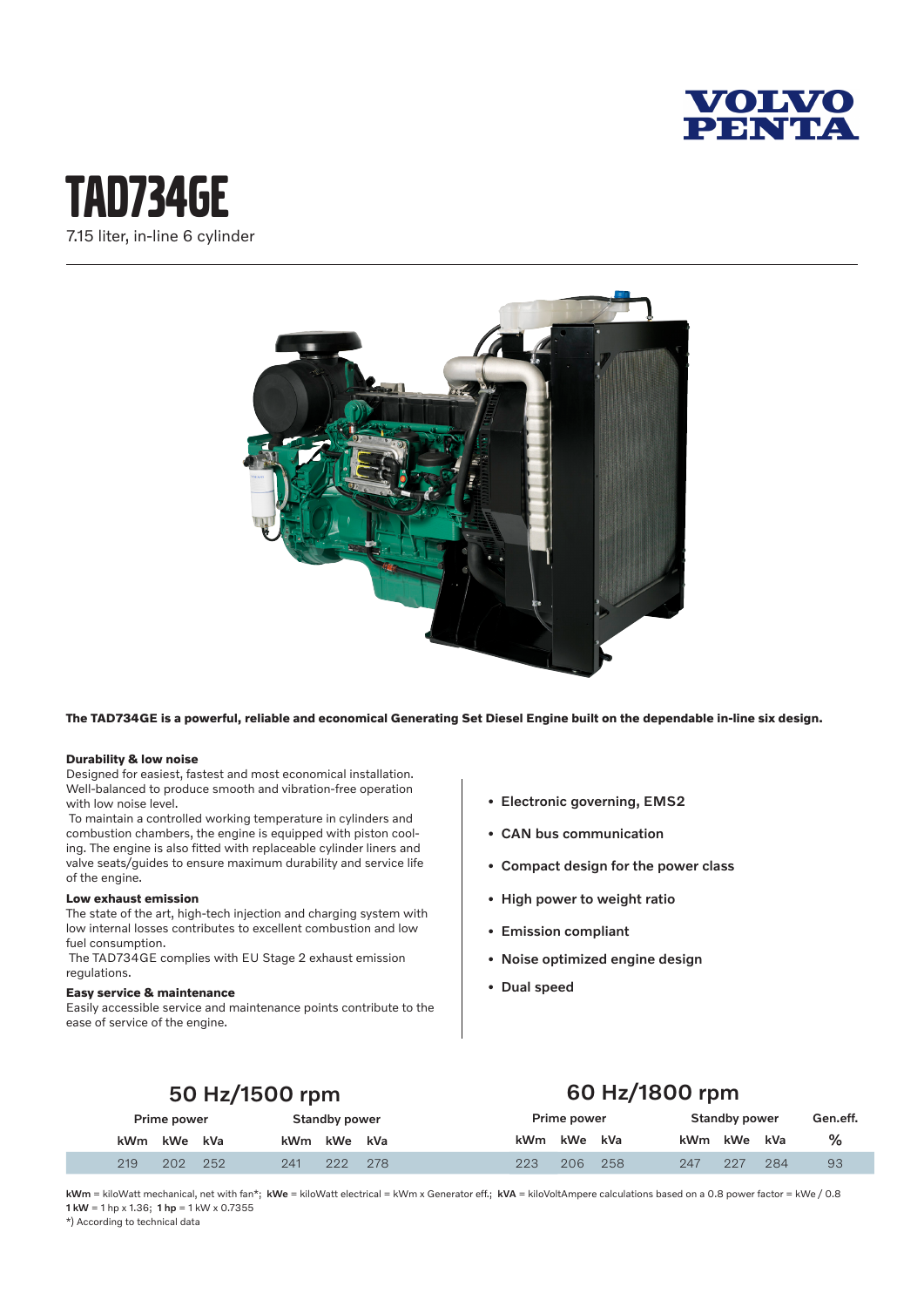

## tAd734GE 7.15 liter, in-line 6 cylinder



**The TAD734GE is a powerful, reliable and economical Generating Set Diesel Engine built on the dependable in-line six design.**

#### **Durability & low noise**

Designed for easiest, fastest and most economical installation. Well-balanced to produce smooth and vibration-free operation with low noise level.

 To maintain a controlled working temperature in cylinders and combustion chambers, the engine is equipped with piston cooling. The engine is also fitted with replaceable cylinder liners and valve seats/guides to ensure maximum durability and service life of the engine.

#### **Low exhaust emission**

The state of the art, high-tech injection and charging system with low internal losses contributes to excellent combustion and low fuel consumption.

 The TAD734GE complies with EU Stage 2 exhaust emission regulations.

#### **Easy service & maintenance**

Easily accessible service and maintenance points contribute to the ease of service of the engine.

- Electronic governing, EMS2
- CAN bus communication
- Compact design for the power class
- High power to weight ratio
- Emission compliant
- Noise optimized engine design
- Dual speed

## 50 Hz/1500 rpm

## 60 Hz/1800 rpm

| Prime power |     |     | <b>Standby power</b> |     |     | Prime power |     |     | <b>Standby power</b> |     |     | Gen.eff. |
|-------------|-----|-----|----------------------|-----|-----|-------------|-----|-----|----------------------|-----|-----|----------|
| kWm kWe kVa |     |     | kWm                  | kWe | kVa | <b>kWm</b>  | kWe | kVa | kWm kWe              |     | kVa | ℅        |
| 219         | 202 | 252 | 241                  | 222 | 278 | 223         | 206 | 258 | 247                  | 227 | 284 | 93       |

kWm = kiloWatt mechanical, net with fan\*; kWe = kiloWatt electrical = kWm x Generator eff.; kVA = kiloVoltAmpere calculations based on a 0.8 power factor = kWe / 0.8 1 kW = 1 hp x 1.36; 1 hp = 1 kW x 0.7355

\*) According to technical data